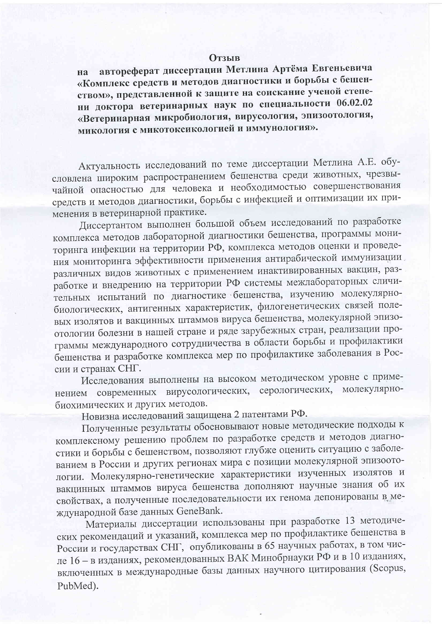## **Отзыв**

автореферат диссертации Метлина Артёма Евгеньевича на «Комплекс средств и методов диагностики и борьбы с бешенством», представленной к защите на соискание ученой степени доктора ветеринарных наук по специальности 06.02.02 «Ветеринарная микробиология, вирусология, эпизоотология, микология с микотоксикологией и иммунология».

Актуальность исследований по теме диссертации Метлина А.Е. обусловлена широким распространением бешенства среди животных, чрезвычайной опасностью для человека и необходимостью совершенствования средств и методов диагностики, борьбы с инфекцией и оптимизации их применения в ветеринарной практике.

Диссертантом выполнен большой объем исследований по разработке комплекса методов лабораторной диагностики бешенства, программы мониторинга инфекции на территории РФ, комплекса методов оценки и проведения мониторинга эффективности применения антирабической иммунизации различных видов животных с применением инактивированных вакцин, разработке и внедрению на территории РФ системы межлабораторных сличительных испытаний по диагностике бешенства, изучению молекулярнобиологических, антигенных характеристик, филогенетических связей полевых изолятов и вакцинных штаммов вируса бешенства, молекулярной эпизоотологии болезни в нашей стране и ряде зарубежных стран, реализации программы международного сотрудничества в области борьбы и профилактики бешенства и разработке комплекса мер по профилактике заболевания в России и странах СНГ.

Исследования выполнены на высоком методическом уровне с применением современных вирусологических, серологических, молекулярнобиохимических и других методов.

Новизна исследований защищена 2 патентами РФ.

Полученные результаты обосновывают новые методические подходы к комплексному решению проблем по разработке средств и методов диагностики и борьбы с бешенством, позволяют глубже оценить ситуацию с заболеванием в России и других регионах мира с позиции молекулярной эпизоотологии. Молекулярно-генетические характеристики изученных изолятов и вакцинных штаммов вируса бешенства дополняют научные знания об их свойствах, а полученные последовательности их генома депонированы в международной базе данных GeneBank.

Материалы диссертации использованы при разработке 13 методических рекомендаций и указаний, комплекса мер по профилактике бешенства в России и государствах СНГ, опубликованы в 65 научных работах, в том числе 16 - в изданиях, рекомендованных ВАК Минобрнауки РФ и в 10 изданиях, включенных в международные базы данных научного цитирования (Scopus, PubMed).